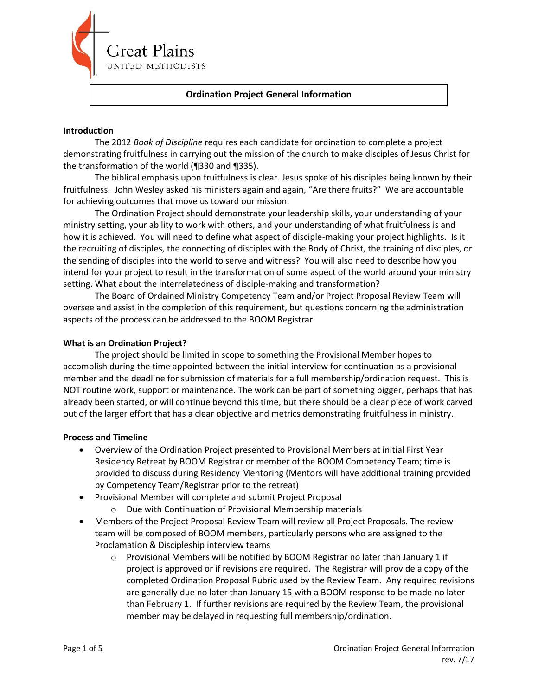

## **Ordination Project General Information**

### **Introduction**

The 2012 *Book of Discipline* requires each candidate for ordination to complete a project demonstrating fruitfulness in carrying out the mission of the church to make disciples of Jesus Christ for the transformation of the world (¶330 and ¶335).

The biblical emphasis upon fruitfulness is clear. Jesus spoke of his disciples being known by their fruitfulness. John Wesley asked his ministers again and again, "Are there fruits?" We are accountable for achieving outcomes that move us toward our mission.

The Ordination Project should demonstrate your leadership skills, your understanding of your ministry setting, your ability to work with others, and your understanding of what fruitfulness is and how it is achieved. You will need to define what aspect of disciple-making your project highlights. Is it the recruiting of disciples, the connecting of disciples with the Body of Christ, the training of disciples, or the sending of disciples into the world to serve and witness? You will also need to describe how you intend for your project to result in the transformation of some aspect of the world around your ministry setting. What about the interrelatedness of disciple-making and transformation?

The Board of Ordained Ministry Competency Team and/or Project Proposal Review Team will oversee and assist in the completion of this requirement, but questions concerning the administration aspects of the process can be addressed to the BOOM Registrar.

### **What is an Ordination Project?**

The project should be limited in scope to something the Provisional Member hopes to accomplish during the time appointed between the initial interview for continuation as a provisional member and the deadline for submission of materials for a full membership/ordination request. This is NOT routine work, support or maintenance. The work can be part of something bigger, perhaps that has already been started, or will continue beyond this time, but there should be a clear piece of work carved out of the larger effort that has a clear objective and metrics demonstrating fruitfulness in ministry.

### **Process and Timeline**

- Overview of the Ordination Project presented to Provisional Members at initial First Year Residency Retreat by BOOM Registrar or member of the BOOM Competency Team; time is provided to discuss during Residency Mentoring (Mentors will have additional training provided by Competency Team/Registrar prior to the retreat)
- Provisional Member will complete and submit Project Proposal
	- Due with Continuation of Provisional Membership materials
- Members of the Project Proposal Review Team will review all Project Proposals. The review team will be composed of BOOM members, particularly persons who are assigned to the Proclamation & Discipleship interview teams
	- $\circ$  Provisional Members will be notified by BOOM Registrar no later than January 1 if project is approved or if revisions are required. The Registrar will provide a copy of the completed Ordination Proposal Rubric used by the Review Team. Any required revisions are generally due no later than January 15 with a BOOM response to be made no later than February 1. If further revisions are required by the Review Team, the provisional member may be delayed in requesting full membership/ordination.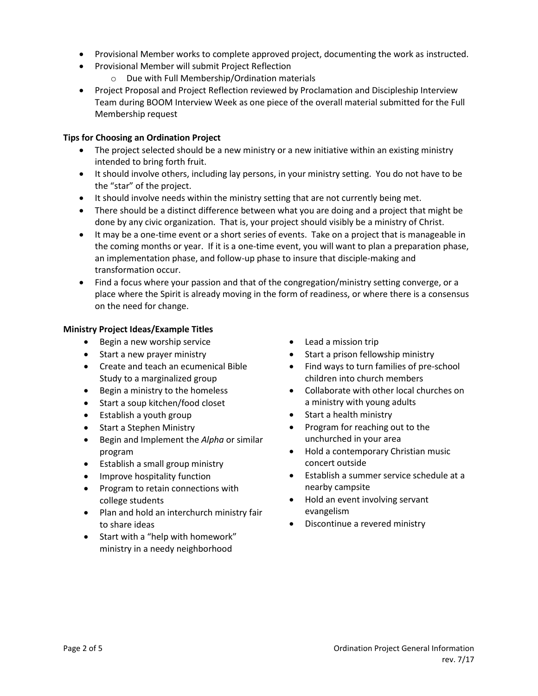- Provisional Member works to complete approved project, documenting the work as instructed.
- Provisional Member will submit Project Reflection
	- o Due with Full Membership/Ordination materials
- Project Proposal and Project Reflection reviewed by Proclamation and Discipleship Interview Team during BOOM Interview Week as one piece of the overall material submitted for the Full Membership request

## **Tips for Choosing an Ordination Project**

- The project selected should be a new ministry or a new initiative within an existing ministry intended to bring forth fruit.
- It should involve others, including lay persons, in your ministry setting. You do not have to be the "star" of the project.
- It should involve needs within the ministry setting that are not currently being met.
- There should be a distinct difference between what you are doing and a project that might be done by any civic organization. That is, your project should visibly be a ministry of Christ.
- It may be a one-time event or a short series of events. Take on a project that is manageable in the coming months or year. If it is a one-time event, you will want to plan a preparation phase, an implementation phase, and follow-up phase to insure that disciple-making and transformation occur.
- Find a focus where your passion and that of the congregation/ministry setting converge, or a place where the Spirit is already moving in the form of readiness, or where there is a consensus on the need for change.

## **Ministry Project Ideas/Example Titles**

- Begin a new worship service
- Start a new prayer ministry
- Create and teach an ecumenical Bible Study to a marginalized group
- Begin a ministry to the homeless
- Start a soup kitchen/food closet
- Establish a youth group
- Start a Stephen Ministry
- Begin and Implement the *Alpha* or similar program
- Establish a small group ministry
- Improve hospitality function
- Program to retain connections with college students
- Plan and hold an interchurch ministry fair to share ideas
- Start with a "help with homework" ministry in a needy neighborhood
- Lead a mission trip
- Start a prison fellowship ministry
- Find ways to turn families of pre-school children into church members
- Collaborate with other local churches on a ministry with young adults
- Start a health ministry
- Program for reaching out to the unchurched in your area
- Hold a contemporary Christian music concert outside
- Establish a summer service schedule at a nearby campsite
- Hold an event involving servant evangelism
- Discontinue a revered ministry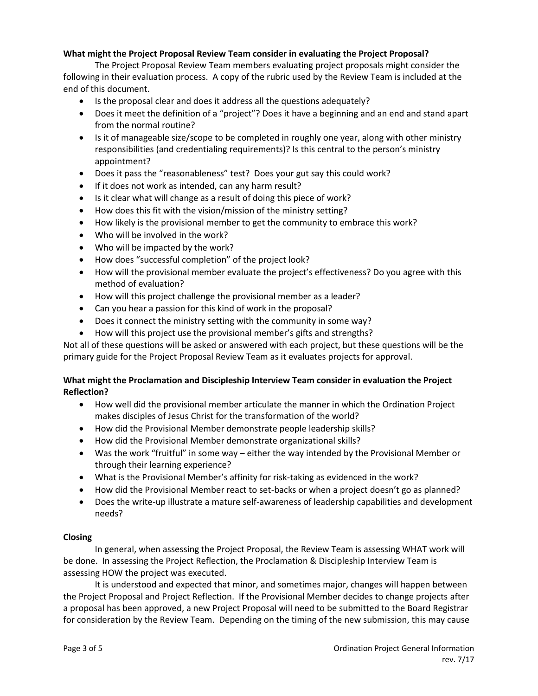# **What might the Project Proposal Review Team consider in evaluating the Project Proposal?**

The Project Proposal Review Team members evaluating project proposals might consider the following in their evaluation process. A copy of the rubric used by the Review Team is included at the end of this document.

- Is the proposal clear and does it address all the questions adequately?
- Does it meet the definition of a "project"? Does it have a beginning and an end and stand apart from the normal routine?
- Is it of manageable size/scope to be completed in roughly one year, along with other ministry responsibilities (and credentialing requirements)? Is this central to the person's ministry appointment?
- Does it pass the "reasonableness" test? Does your gut say this could work?
- If it does not work as intended, can any harm result?
- Is it clear what will change as a result of doing this piece of work?
- How does this fit with the vision/mission of the ministry setting?
- How likely is the provisional member to get the community to embrace this work?
- Who will be involved in the work?
- Who will be impacted by the work?
- How does "successful completion" of the project look?
- How will the provisional member evaluate the project's effectiveness? Do you agree with this method of evaluation?
- How will this project challenge the provisional member as a leader?
- Can you hear a passion for this kind of work in the proposal?
- Does it connect the ministry setting with the community in some way?
- How will this project use the provisional member's gifts and strengths?

Not all of these questions will be asked or answered with each project, but these questions will be the primary guide for the Project Proposal Review Team as it evaluates projects for approval.

# **What might the Proclamation and Discipleship Interview Team consider in evaluation the Project Reflection?**

- How well did the provisional member articulate the manner in which the Ordination Project makes disciples of Jesus Christ for the transformation of the world?
- How did the Provisional Member demonstrate people leadership skills?
- How did the Provisional Member demonstrate organizational skills?
- Was the work "fruitful" in some way either the way intended by the Provisional Member or through their learning experience?
- What is the Provisional Member's affinity for risk-taking as evidenced in the work?
- How did the Provisional Member react to set-backs or when a project doesn't go as planned?
- Does the write-up illustrate a mature self-awareness of leadership capabilities and development needs?

# **Closing**

In general, when assessing the Project Proposal, the Review Team is assessing WHAT work will be done. In assessing the Project Reflection, the Proclamation & Discipleship Interview Team is assessing HOW the project was executed.

It is understood and expected that minor, and sometimes major, changes will happen between the Project Proposal and Project Reflection. If the Provisional Member decides to change projects after a proposal has been approved, a new Project Proposal will need to be submitted to the Board Registrar for consideration by the Review Team. Depending on the timing of the new submission, this may cause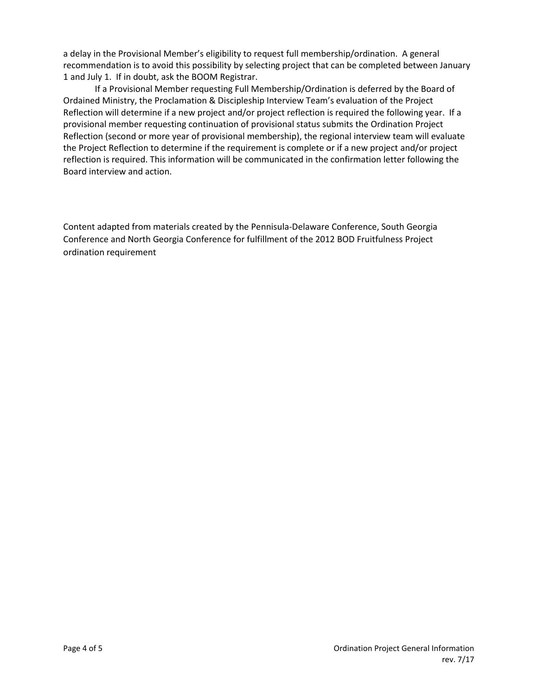a delay in the Provisional Member's eligibility to request full membership/ordination. A general recommendation is to avoid this possibility by selecting project that can be completed between January 1 and July 1. If in doubt, ask the BOOM Registrar.

If a Provisional Member requesting Full Membership/Ordination is deferred by the Board of Ordained Ministry, the Proclamation & Discipleship Interview Team's evaluation of the Project Reflection will determine if a new project and/or project reflection is required the following year. If a provisional member requesting continuation of provisional status submits the Ordination Project Reflection (second or more year of provisional membership), the regional interview team will evaluate the Project Reflection to determine if the requirement is complete or if a new project and/or project reflection is required. This information will be communicated in the confirmation letter following the Board interview and action.

Content adapted from materials created by the Pennisula-Delaware Conference, South Georgia Conference and North Georgia Conference for fulfillment of the 2012 BOD Fruitfulness Project ordination requirement